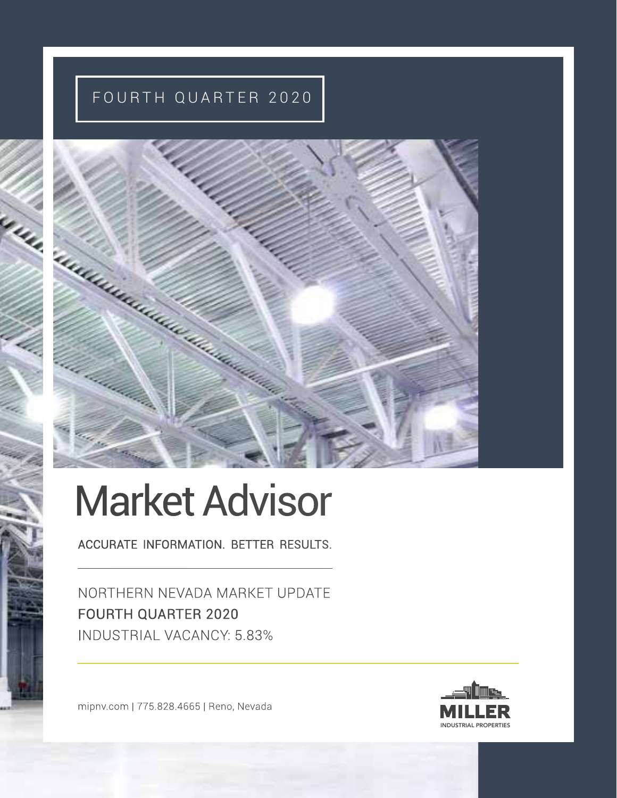# FOURTH QUARTER 2020



# Market Advisor

ACCURATE INFORMATION. BETTER RESULTS.

NORTHERN NEVADA MARKET UPDATE FOURTH QUARTER 2020 INDUSTRIAL VACANCY: 5.83%

mipnv.com | 775.828.4665 | Reno, Nevada

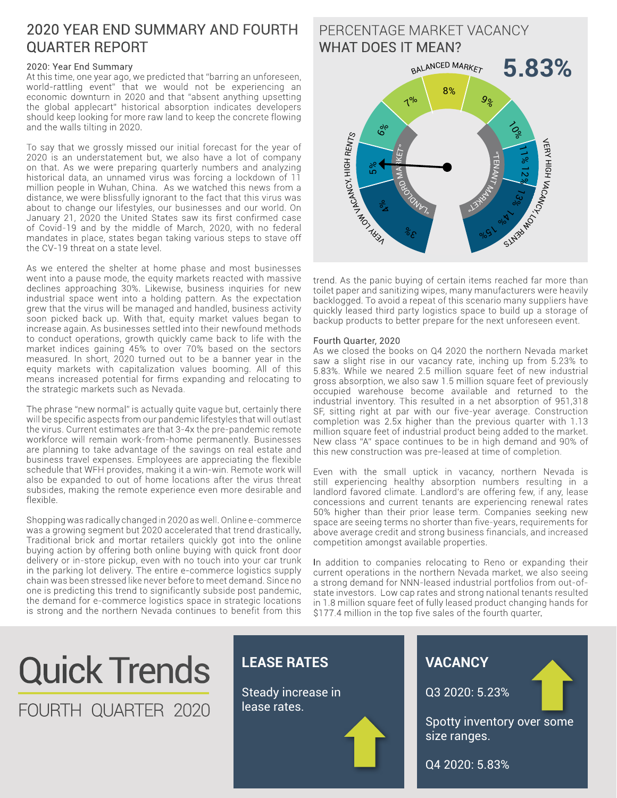#### 2020 YEAR END SUMMARY AND FOURTH QUARTER REPORT

#### 2020: Year End Summary

At this time, one year ago, we predicted that "barring an unforeseen, world-rattling event" that we would not be experiencing an economic downturn in 2020 and that "absent anything upsetting the global applecart" historical absorption indicates developers should keep looking for more raw land to keep the concrete flowing and the walls tilting in 2020.

To say that we grossly missed our initial forecast for the year of 2020 is an understatement but, we also have a lot of company on that. As we were preparing quarterly numbers and analyzing historical data, an unnamed virus was forcing a lockdown of 11 million people in Wuhan, China. As we watched this news from a distance, we were blissfully ignorant to the fact that this virus was about to change our lifestyles, our businesses and our world. On January 21, 2020 the United States saw its first confirmed case of Covid-19 and by the middle of March, 2020, with no federal mandates in place, states began taking various steps to stave off the CV-19 threat on a state level.

As we entered the shelter at home phase and most businesses went into a pause mode, the equity markets reacted with massive declines approaching 30%. Likewise, business inquiries for new industrial space went into a holding pattern. As the expectation grew that the virus will be managed and handled, business activity soon picked back up. With that, equity market values began to increase again. As businesses settled into their newfound methods to conduct operations, growth quickly came back to life with the market indices gaining 45% to over 70% based on the sectors measured. In short, 2020 turned out to be a banner year in the equity markets with capitalization values booming. All of this means increased potential for firms expanding and relocating to the strategic markets such as Nevada.

The phrase "new normal" is actually quite vague but, certainly there will be specific aspects from our pandemic lifestyles that will outlast the virus. Current estimates are that 3-4x the pre-pandemic remote workforce will remain work-from-home permanently. Businesses are planning to take advantage of the savings on real estate and business travel expenses. Employees are appreciating the flexible schedule that WFH provides, making it a win-win. Remote work will also be expanded to out of home locations after the virus threat subsides, making the remote experience even more desirable and flexible.

Shopping was radically changed in 2020 as well. Online e-commerce was a growing segment but 2020 accelerated that trend drastically. Traditional brick and mortar retailers quickly got into the online buying action by offering both online buying with quick front door delivery or in-store pickup, even with no touch into your car trunk in the parking lot delivery. The entire e-commerce logistics supply chain was been stressed like never before to meet demand. Since no one is predicting this trend to significantly subside post pandemic, the demand for e-commerce logistics space in strategic locations is strong and the northern Nevada continues to benefit from this

#### **5.83%** PERCENTAGE MARKET VACANCY WHAT DOES IT MEAN? " $\overline{\phantom{a}}$ Ez  $\overline{\mathsf{X}}$ **MARKET**  $\gamma_{\nu_{\lambda_{n}}}$ Royo M ARKE7" BALANCED MARKET **VERY ASSAULT BY A RENTS** VERY HIGH VACANCY, SlM3bMO  $3^{\circ}$  $\frac{6}{2}$ 5 %  $6\%$ <sup>7</sup>% 8%  $9%$  $\zeta$ 11% 12 % 1 3% 9/05 1 % 1

trend. As the panic buying of certain items reached far more than toilet paper and sanitizing wipes, many manufacturers were heavily backlogged. To avoid a repeat of this scenario many suppliers have quickly leased third party logistics space to build up a storage of backup products to better prepare for the next unforeseen event.

#### Fourth Quarter, 2020

As we closed the books on Q4 2020 the northern Nevada market saw a slight rise in our vacancy rate, inching up from 5.23% to 5.83%. While we neared 2.5 million square feet of new industrial gross absorption, we also saw 1.5 million square feet of previously occupied warehouse become available and returned to the industrial inventory. This resulted in a net absorption of 951,318 SF, sitting right at par with our five-year average. Construction completion was 2.5x higher than the previous quarter with 1.13 million square feet of industrial product being added to the market. New class "A" space continues to be in high demand and 90% of this new construction was pre-leased at time of completion.

Even with the small uptick in vacancy, northern Nevada is still experiencing healthy absorption numbers resulting in a landlord favored climate. Landlord's are offering few, if any, lease concessions and current tenants are experiencing renewal rates 50% higher than their prior lease term. Companies seeking new space are seeing terms no shorter than five-years, requirements for above average credit and strong business financials, and increased competition amongst available properties.

In addition to companies relocating to Reno or expanding their current operations in the northern Nevada market, we also seeing a strong demand for NNN-leased industrial portfolios from out-ofstate investors. Low cap rates and strong national tenants resulted in 1.8 million square feet of fully leased product changing hands for \$177.4 million in the top five sales of the fourth quarter.

# Quick Trends FOURTH QUARTER 2020

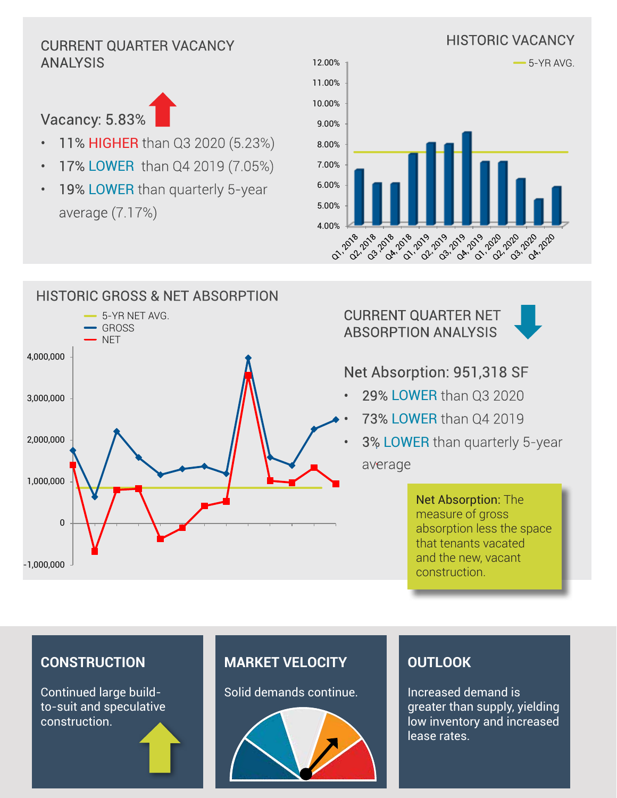### HISTORIC VACANCY CURRENT QUARTER VACANCY ANALYSIS



- 11% HIGHER than Q3 2020 (5.23%)
- 17% LOWER than Q4 2019 (7.05%)
- 19% LOWER than quarterly 5-year average (7.17%)







#### CURRENT QUARTER NET ABSORPTION ANALYSIS



### Net Absorption: 951,318 SF

- 29% LOWER than Q3 2020
- 73% LOWER than Q4 2019
- 3% LOWER than quarterly 5-year

Net Absorption: The measure of gross absorption less the space that tenants vacated and the new, vacant construction.

#### **CONSTRUCTION**

Continued large buildto-suit and speculative construction.

#### **MARKET VELOCITY**

Solid demands continue.



#### **OUTLOOK**

Increased demand is greater than supply, yielding low inventory and increased lease rates.